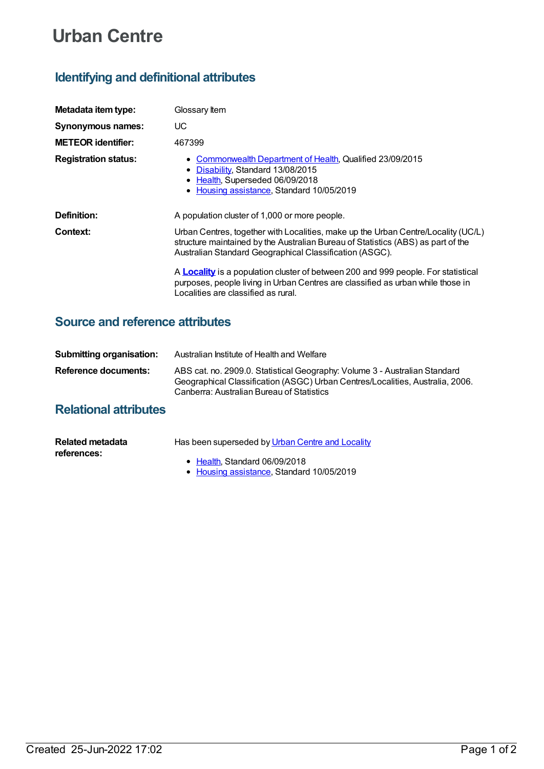# **Urban Centre**

# **Identifying and definitional attributes**

| Metadata item type:         | Glossary Item                                                                                                                                                                                                                    |
|-----------------------------|----------------------------------------------------------------------------------------------------------------------------------------------------------------------------------------------------------------------------------|
| <b>Synonymous names:</b>    | UС                                                                                                                                                                                                                               |
| <b>METEOR identifier:</b>   | 467399                                                                                                                                                                                                                           |
| <b>Registration status:</b> | • Commonwealth Department of Health, Qualified 23/09/2015<br>• Disability, Standard 13/08/2015<br>• Health, Superseded 06/09/2018<br>• Housing assistance, Standard 10/05/2019                                                   |
| Definition:                 | A population cluster of 1,000 or more people.                                                                                                                                                                                    |
| Context:                    | Urban Centres, together with Localities, make up the Urban Centre/Locality (UC/L)<br>structure maintained by the Australian Bureau of Statistics (ABS) as part of the<br>Australian Standard Geographical Classification (ASGC). |
|                             | A <b>Locality</b> is a population cluster of between 200 and 999 people. For statistical<br>purposes, people living in Urban Centres are classified as urban while those in<br>Localities are classified as rural.               |

### **Source and reference attributes**

| <b>Submitting organisation:</b> | Australian Institute of Health and Welfare                                                                                                                                                               |
|---------------------------------|----------------------------------------------------------------------------------------------------------------------------------------------------------------------------------------------------------|
| Reference documents:            | ABS cat. no. 2909.0. Statistical Geography: Volume 3 - Australian Standard<br>Geographical Classification (ASGC) Urban Centres/Localities, Australia, 2006.<br>Canberra: Australian Bureau of Statistics |

## **Relational attributes**

| Related metadata | Has been superseded by Urban Centre and Locality |
|------------------|--------------------------------------------------|
| references:      |                                                  |
|                  | • Health, Standard 06/09/2018                    |

Housing [assistance](https://meteor.aihw.gov.au/RegistrationAuthority/11), Standard 10/05/2019